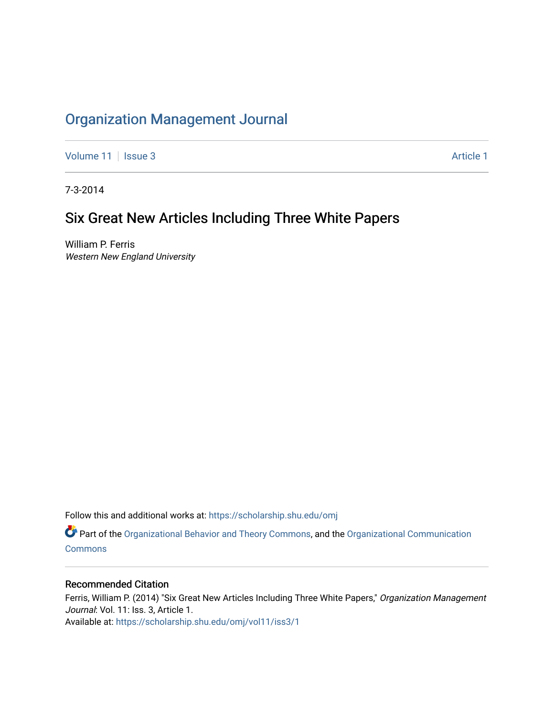# [Organization Management Journal](https://scholarship.shu.edu/omj)

[Volume 11](https://scholarship.shu.edu/omj/vol11) | [Issue 3](https://scholarship.shu.edu/omj/vol11/iss3) Article 1

7-3-2014

## Six Great New Articles Including Three White Papers

William P. Ferris Western New England University

Follow this and additional works at: [https://scholarship.shu.edu/omj](https://scholarship.shu.edu/omj?utm_source=scholarship.shu.edu%2Fomj%2Fvol11%2Fiss3%2F1&utm_medium=PDF&utm_campaign=PDFCoverPages) 

Part of the [Organizational Behavior and Theory Commons,](http://network.bepress.com/hgg/discipline/639?utm_source=scholarship.shu.edu%2Fomj%2Fvol11%2Fiss3%2F1&utm_medium=PDF&utm_campaign=PDFCoverPages) and the [Organizational Communication](http://network.bepress.com/hgg/discipline/335?utm_source=scholarship.shu.edu%2Fomj%2Fvol11%2Fiss3%2F1&utm_medium=PDF&utm_campaign=PDFCoverPages) **[Commons](http://network.bepress.com/hgg/discipline/335?utm_source=scholarship.shu.edu%2Fomj%2Fvol11%2Fiss3%2F1&utm_medium=PDF&utm_campaign=PDFCoverPages)** 

### Recommended Citation

Ferris, William P. (2014) "Six Great New Articles Including Three White Papers," Organization Management Journal: Vol. 11: Iss. 3, Article 1. Available at: [https://scholarship.shu.edu/omj/vol11/iss3/1](https://scholarship.shu.edu/omj/vol11/iss3/1?utm_source=scholarship.shu.edu%2Fomj%2Fvol11%2Fiss3%2F1&utm_medium=PDF&utm_campaign=PDFCoverPages)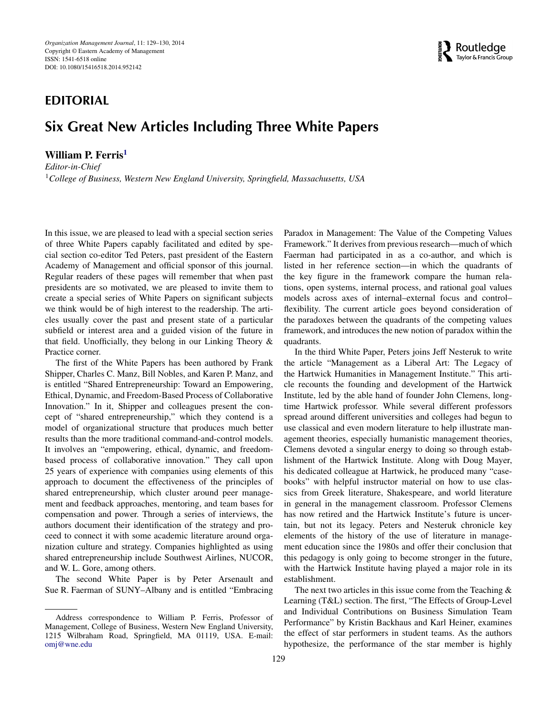### **EDITORIAL**

## **Six Great New Articles Including Three White Papers**

#### <span id="page-1-0"></span>**William P. Ferris[1](#page-1-0)**

*Editor-in-Chief* <sup>1</sup>*College of Business, Western New England University, Springfield, Massachusetts, USA*



In this issue, we are pleased to lead with a special section series of three White Papers capably facilitated and edited by special section co-editor Ted Peters, past president of the Eastern Academy of Management and official sponsor of this journal. Regular readers of these pages will remember that when past presidents are so motivated, we are pleased to invite them to create a special series of White Papers on significant subjects we think would be of high interest to the readership. The articles usually cover the past and present state of a particular subfield or interest area and a guided vision of the future in that field. Unofficially, they belong in our Linking Theory & Practice corner.

The first of the White Papers has been authored by Frank Shipper, Charles C. Manz, Bill Nobles, and Karen P. Manz, and is entitled "Shared Entrepreneurship: Toward an Empowering, Ethical, Dynamic, and Freedom-Based Process of Collaborative Innovation." In it, Shipper and colleagues present the concept of "shared entrepreneurship," which they contend is a model of organizational structure that produces much better results than the more traditional command-and-control models. It involves an "empowering, ethical, dynamic, and freedombased process of collaborative innovation." They call upon 25 years of experience with companies using elements of this approach to document the effectiveness of the principles of shared entrepreneurship, which cluster around peer management and feedback approaches, mentoring, and team bases for compensation and power. Through a series of interviews, the authors document their identification of the strategy and proceed to connect it with some academic literature around organization culture and strategy. Companies highlighted as using shared entrepreneurship include Southwest Airlines, NUCOR, and W. L. Gore, among others.

The second White Paper is by Peter Arsenault and Sue R. Faerman of SUNY–Albany and is entitled "Embracing

Paradox in Management: The Value of the Competing Values Framework." It derives from previous research—much of which Faerman had participated in as a co-author, and which is listed in her reference section—in which the quadrants of the key figure in the framework compare the human relations, open systems, internal process, and rational goal values models across axes of internal–external focus and control– flexibility. The current article goes beyond consideration of the paradoxes between the quadrants of the competing values framework, and introduces the new notion of paradox within the quadrants.

In the third White Paper, Peters joins Jeff Nesteruk to write the article "Management as a Liberal Art: The Legacy of the Hartwick Humanities in Management Institute." This article recounts the founding and development of the Hartwick Institute, led by the able hand of founder John Clemens, longtime Hartwick professor. While several different professors spread around different universities and colleges had begun to use classical and even modern literature to help illustrate management theories, especially humanistic management theories, Clemens devoted a singular energy to doing so through establishment of the Hartwick Institute. Along with Doug Mayer, his dedicated colleague at Hartwick, he produced many "casebooks" with helpful instructor material on how to use classics from Greek literature, Shakespeare, and world literature in general in the management classroom. Professor Clemens has now retired and the Hartwick Institute's future is uncertain, but not its legacy. Peters and Nesteruk chronicle key elements of the history of the use of literature in management education since the 1980s and offer their conclusion that this pedagogy is only going to become stronger in the future, with the Hartwick Institute having played a major role in its establishment.

The next two articles in this issue come from the Teaching  $\&$ Learning (T&L) section. The first, "The Effects of Group-Level and Individual Contributions on Business Simulation Team Performance" by Kristin Backhaus and Karl Heiner, examines the effect of star performers in student teams. As the authors hypothesize, the performance of the star member is highly

Address correspondence to William P. Ferris, Professor of Management, College of Business, Western New England University, 1215 Wilbraham Road, Springfield, MA 01119, USA. E-mail: omj@wne.edu